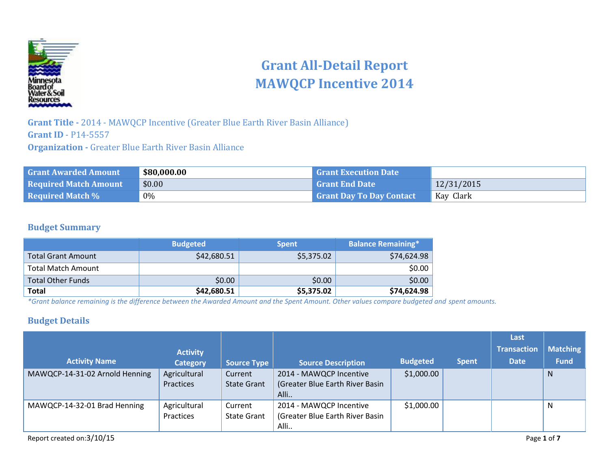

# **Grant All-Detail Report MAWQCP Incentive 2014**

**Grant Title -** 2014 - MAWQCP Incentive (Greater Blue Earth River Basin Alliance) **Grant ID** - P14-5557 **Organization -** Greater Blue Earth River Basin Alliance

| <b>Grant Awarded Amount</b>  | \$80,000.00 | <b>Grant Execution Date</b>     |            |
|------------------------------|-------------|---------------------------------|------------|
| <b>Required Match Amount</b> | \$0.00      | <b>Grant End Date</b>           | 12/31/2015 |
| <b>Required Match %</b>      | 0%          | <b>Grant Day To Day Contact</b> | Kay Clark  |

## **Budget Summary**

|                           | <b>Budgeted</b> | <b>Spent</b> | Balance Remaining* |
|---------------------------|-----------------|--------------|--------------------|
| <b>Total Grant Amount</b> | \$42,680.51     | \$5,375.02   | \$74,624.98        |
| <b>Total Match Amount</b> |                 |              | \$0.00             |
| <b>Total Other Funds</b>  | \$0.00          | \$0.00       | \$0.00             |
| <b>Total</b>              | \$42,680.51     | \$5,375.02   | \$74,624.98        |

*\*Grant balance remaining is the difference between the Awarded Amount and the Spent Amount. Other values compare budgeted and spent amounts.*

## **Budget Details**

|                                |                 |                    |                                 |                 |              | Last               |                 |
|--------------------------------|-----------------|--------------------|---------------------------------|-----------------|--------------|--------------------|-----------------|
|                                | <b>Activity</b> |                    |                                 |                 |              | <b>Transaction</b> | <b>Matching</b> |
| <b>Activity Name</b>           | <b>Category</b> | <b>Source Type</b> | <b>Source Description</b>       | <b>Budgeted</b> | <b>Spent</b> | <b>Date</b>        | <b>Fund</b>     |
| MAWQCP-14-31-02 Arnold Henning | Agricultural    | Current            | 2014 - MAWQCP Incentive         | \$1,000.00      |              |                    | N               |
|                                | Practices       | <b>State Grant</b> | (Greater Blue Earth River Basin |                 |              |                    |                 |
|                                |                 |                    | Alli                            |                 |              |                    |                 |
| MAWQCP-14-32-01 Brad Henning   | Agricultural    | Current            | 2014 - MAWQCP Incentive         | \$1,000.00      |              |                    | N               |
|                                | Practices       | <b>State Grant</b> | (Greater Blue Earth River Basin |                 |              |                    |                 |
|                                |                 |                    | Alli                            |                 |              |                    |                 |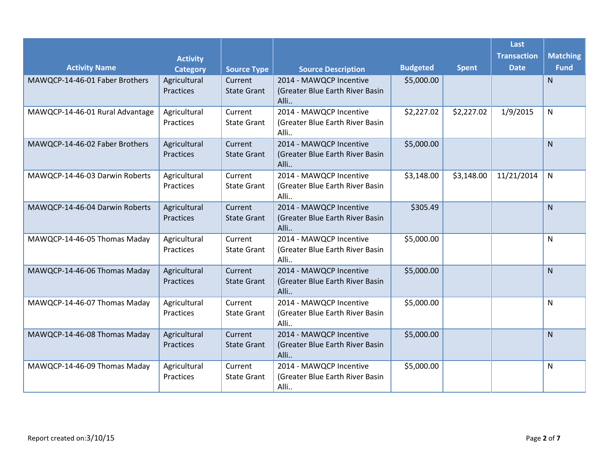|                                 |                                    |                               |                                                                    |                 |              | Last                              |                                |
|---------------------------------|------------------------------------|-------------------------------|--------------------------------------------------------------------|-----------------|--------------|-----------------------------------|--------------------------------|
| <b>Activity Name</b>            | <b>Activity</b><br><b>Category</b> | <b>Source Type</b>            | <b>Source Description</b>                                          | <b>Budgeted</b> | <b>Spent</b> | <b>Transaction</b><br><b>Date</b> | <b>Matching</b><br><b>Fund</b> |
| MAWQCP-14-46-01 Faber Brothers  | Agricultural<br>Practices          | Current<br><b>State Grant</b> | 2014 - MAWQCP Incentive<br>(Greater Blue Earth River Basin<br>Alli | \$5,000.00      |              |                                   | $\mathsf{N}$                   |
| MAWQCP-14-46-01 Rural Advantage | Agricultural<br>Practices          | Current<br><b>State Grant</b> | 2014 - MAWQCP Incentive<br>(Greater Blue Earth River Basin<br>Alli | \$2,227.02      | \$2,227.02   | 1/9/2015                          | N                              |
| MAWQCP-14-46-02 Faber Brothers  | Agricultural<br>Practices          | Current<br><b>State Grant</b> | 2014 - MAWQCP Incentive<br>(Greater Blue Earth River Basin<br>Alli | \$5,000.00      |              |                                   | N                              |
| MAWQCP-14-46-03 Darwin Roberts  | Agricultural<br>Practices          | Current<br><b>State Grant</b> | 2014 - MAWQCP Incentive<br>(Greater Blue Earth River Basin<br>Alli | \$3,148.00      | \$3,148.00   | 11/21/2014                        | N                              |
| MAWQCP-14-46-04 Darwin Roberts  | Agricultural<br>Practices          | Current<br><b>State Grant</b> | 2014 - MAWQCP Incentive<br>(Greater Blue Earth River Basin<br>Alli | \$305.49        |              |                                   | $\mathsf{N}$                   |
| MAWQCP-14-46-05 Thomas Maday    | Agricultural<br>Practices          | Current<br><b>State Grant</b> | 2014 - MAWQCP Incentive<br>(Greater Blue Earth River Basin<br>Alli | \$5,000.00      |              |                                   | N                              |
| MAWQCP-14-46-06 Thomas Maday    | Agricultural<br>Practices          | Current<br><b>State Grant</b> | 2014 - MAWQCP Incentive<br>(Greater Blue Earth River Basin<br>Alli | \$5,000.00      |              |                                   | $\mathsf{N}$                   |
| MAWQCP-14-46-07 Thomas Maday    | Agricultural<br>Practices          | Current<br><b>State Grant</b> | 2014 - MAWQCP Incentive<br>(Greater Blue Earth River Basin<br>Alli | \$5,000.00      |              |                                   | N                              |
| MAWQCP-14-46-08 Thomas Maday    | Agricultural<br>Practices          | Current<br><b>State Grant</b> | 2014 - MAWQCP Incentive<br>(Greater Blue Earth River Basin<br>Alli | \$5,000.00      |              |                                   | N.                             |
| MAWQCP-14-46-09 Thomas Maday    | Agricultural<br>Practices          | Current<br><b>State Grant</b> | 2014 - MAWQCP Incentive<br>(Greater Blue Earth River Basin<br>Alli | \$5,000.00      |              |                                   | N                              |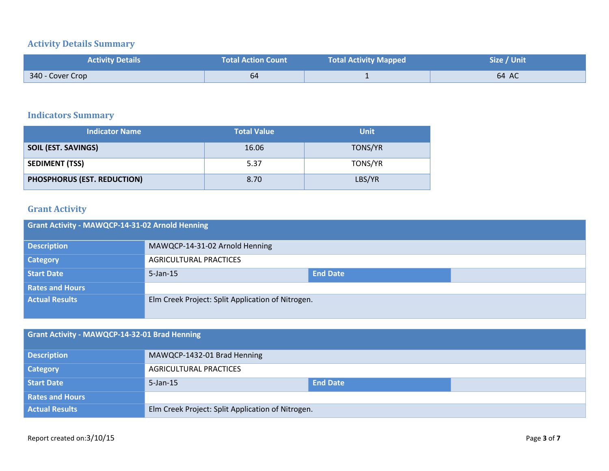## **Activity Details Summary**

| <b>Activity Details</b> | <b>Total Action Count</b> | <b>Total Activity Mapped</b> | Size / Unit |
|-------------------------|---------------------------|------------------------------|-------------|
| 340 - Cover Crop        | 64                        |                              | 64 AC       |

## **Indicators Summary**

| <b>Indicator Name</b>       | <b>Total Value</b> | <b>Unit</b>    |
|-----------------------------|--------------------|----------------|
| <b>SOIL (EST. SAVINGS)</b>  | 16.06              | <b>TONS/YR</b> |
| <b>SEDIMENT (TSS)</b>       | 5.37               | TONS/YR        |
| PHOSPHORUS (EST. REDUCTION) | 8.70               | LBS/YR         |

## **Grant Activity**

| Grant Activity - MAWQCP-14-31-02 Arnold Henning |                                                   |                 |  |  |
|-------------------------------------------------|---------------------------------------------------|-----------------|--|--|
| <b>Description</b>                              | MAWQCP-14-31-02 Arnold Henning                    |                 |  |  |
| <b>Category</b>                                 | <b>AGRICULTURAL PRACTICES</b>                     |                 |  |  |
| <b>Start Date</b>                               | $5$ -Jan-15                                       | <b>End Date</b> |  |  |
| <b>Rates and Hours</b>                          |                                                   |                 |  |  |
| <b>Actual Results</b>                           | Elm Creek Project: Split Application of Nitrogen. |                 |  |  |

| Grant Activity - MAWQCP-14-32-01 Brad Henning |                                                   |                 |  |
|-----------------------------------------------|---------------------------------------------------|-----------------|--|
| <b>Description</b>                            | MAWQCP-1432-01 Brad Henning                       |                 |  |
| <b>Category</b>                               | <b>AGRICULTURAL PRACTICES</b>                     |                 |  |
| <b>Start Date</b>                             | $5$ -Jan-15                                       | <b>End Date</b> |  |
| <b>Rates and Hours</b>                        |                                                   |                 |  |
| <b>Actual Results</b>                         | Elm Creek Project: Split Application of Nitrogen. |                 |  |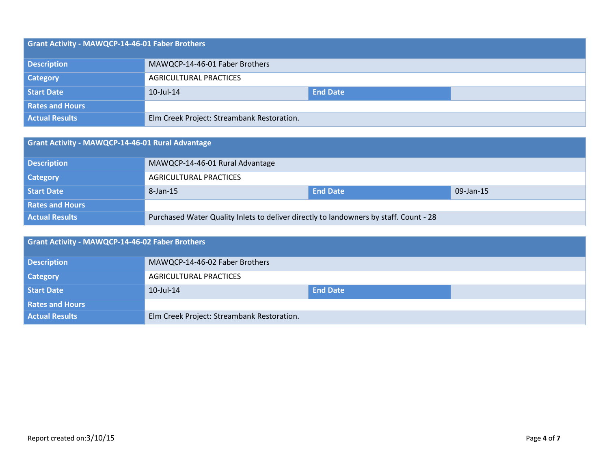| Grant Activity - MAWQCP-14-46-01 Faber Brothers |                                            |                 |  |  |
|-------------------------------------------------|--------------------------------------------|-----------------|--|--|
| <b>Description</b>                              | MAWQCP-14-46-01 Faber Brothers             |                 |  |  |
| <b>Category</b>                                 | <b>AGRICULTURAL PRACTICES</b>              |                 |  |  |
| <b>Start Date</b>                               | 10-Jul-14                                  | <b>End Date</b> |  |  |
| <b>Rates and Hours</b>                          |                                            |                 |  |  |
| <b>Actual Results</b>                           | Elm Creek Project: Streambank Restoration. |                 |  |  |

| Grant Activity - MAWQCP-14-46-01 Rural Advantage |                                                                                       |                 |           |
|--------------------------------------------------|---------------------------------------------------------------------------------------|-----------------|-----------|
| <b>Description</b>                               | MAWQCP-14-46-01 Rural Advantage                                                       |                 |           |
| <b>Category</b>                                  | <b>AGRICULTURAL PRACTICES</b>                                                         |                 |           |
| Start Date                                       | 8-Jan-15                                                                              | <b>End Date</b> | 09-Jan-15 |
| <b>Rates and Hours</b>                           |                                                                                       |                 |           |
| <b>Actual Results</b>                            | Purchased Water Quality Inlets to deliver directly to landowners by staff. Count - 28 |                 |           |

| Grant Activity - MAWQCP-14-46-02 Faber Brothers |                                            |                 |  |
|-------------------------------------------------|--------------------------------------------|-----------------|--|
| <b>Description</b>                              | MAWQCP-14-46-02 Faber Brothers             |                 |  |
| <b>Category</b>                                 | <b>AGRICULTURAL PRACTICES</b>              |                 |  |
| <b>Start Date</b>                               | 10-Jul-14                                  | <b>End Date</b> |  |
| <b>Rates and Hours</b>                          |                                            |                 |  |
| <b>Actual Results</b>                           | Elm Creek Project: Streambank Restoration. |                 |  |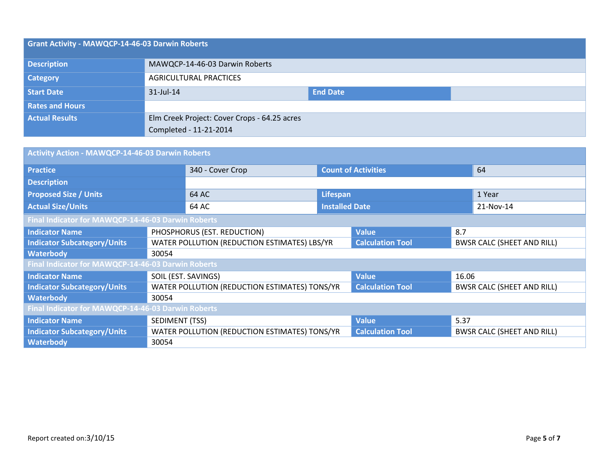| Grant Activity - MAWQCP-14-46-03 Darwin Roberts |                                              |                 |  |
|-------------------------------------------------|----------------------------------------------|-----------------|--|
| <b>Description</b>                              | MAWQCP-14-46-03 Darwin Roberts               |                 |  |
| <b>Category</b>                                 | <b>AGRICULTURAL PRACTICES</b>                |                 |  |
| <b>Start Date</b>                               | $31$ -Jul-14                                 | <b>End Date</b> |  |
| <b>Rates and Hours</b>                          |                                              |                 |  |
| <b>Actual Results</b>                           | Elm Creek Project: Cover Crops - 64.25 acres |                 |  |
|                                                 | Completed - 11-21-2014                       |                 |  |

| Activity Action - MAWQCP-14-46-03 Darwin Roberts   |                                               |                                              |                       |                            |       |                                   |
|----------------------------------------------------|-----------------------------------------------|----------------------------------------------|-----------------------|----------------------------|-------|-----------------------------------|
| <b>Practice</b>                                    |                                               | 340 - Cover Crop                             |                       | <b>Count of Activities</b> |       | 64                                |
| <b>Description</b>                                 |                                               |                                              |                       |                            |       |                                   |
| <b>Proposed Size / Units</b>                       |                                               | 64 AC<br>Lifespan                            |                       |                            |       | 1 Year                            |
| <b>Actual Size/Units</b>                           |                                               | 64 AC                                        | <b>Installed Date</b> |                            |       | 21-Nov-14                         |
| Final Indicator for MAWQCP-14-46-03 Darwin Roberts |                                               |                                              |                       |                            |       |                                   |
| <b>Indicator Name</b>                              |                                               | PHOSPHORUS (EST. REDUCTION)                  |                       | <b>Value</b>               | 8.7   |                                   |
| <b>Indicator Subcategory/Units</b>                 |                                               | WATER POLLUTION (REDUCTION ESTIMATES) LBS/YR |                       | <b>Calculation Tool</b>    |       | <b>BWSR CALC (SHEET AND RILL)</b> |
| <b>Waterbody</b>                                   | 30054                                         |                                              |                       |                            |       |                                   |
| Final Indicator for MAWQCP-14-46-03 Darwin Roberts |                                               |                                              |                       |                            |       |                                   |
| <b>Indicator Name</b>                              | SOIL (EST. SAVINGS)                           |                                              |                       | <b>Value</b>               | 16.06 |                                   |
| <b>Indicator Subcategory/Units</b>                 | WATER POLLUTION (REDUCTION ESTIMATES) TONS/YR |                                              |                       | <b>Calculation Tool</b>    |       | <b>BWSR CALC (SHEET AND RILL)</b> |
| <b>Waterbody</b>                                   | 30054                                         |                                              |                       |                            |       |                                   |
| Final Indicator for MAWQCP-14-46-03 Darwin Roberts |                                               |                                              |                       |                            |       |                                   |
| <b>Indicator Name</b>                              | SEDIMENT (TSS)                                |                                              | <b>Value</b>          | 5.37                       |       |                                   |
| <b>Indicator Subcategory/Units</b>                 | WATER POLLUTION (REDUCTION ESTIMATES) TONS/YR |                                              |                       | <b>Calculation Tool</b>    |       | <b>BWSR CALC (SHEET AND RILL)</b> |
| <b>Waterbody</b>                                   | 30054                                         |                                              |                       |                            |       |                                   |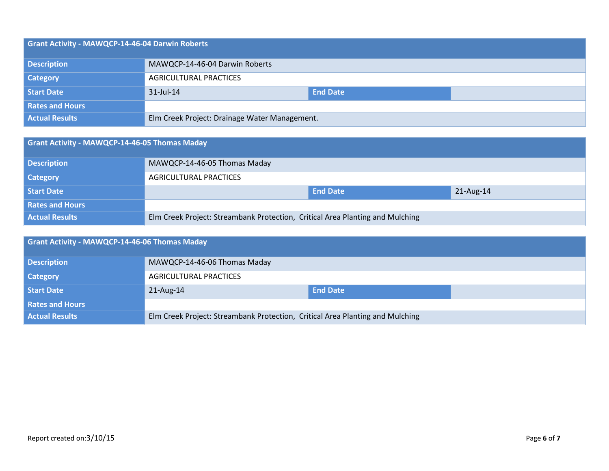| Grant Activity - MAWQCP-14-46-04 Darwin Roberts |                                               |                 |  |  |
|-------------------------------------------------|-----------------------------------------------|-----------------|--|--|
| <b>Description</b>                              | MAWQCP-14-46-04 Darwin Roberts                |                 |  |  |
| <b>Category</b>                                 | AGRICULTURAL PRACTICES                        |                 |  |  |
| <b>Start Date</b>                               | $31$ -Jul-14                                  | <b>End Date</b> |  |  |
| <b>Rates and Hours</b>                          |                                               |                 |  |  |
| <b>Actual Results</b>                           | Elm Creek Project: Drainage Water Management. |                 |  |  |

| <b>Grant Activity - MAWQCP-14-46-05 Thomas Maday</b> |                                                                               |                 |           |  |
|------------------------------------------------------|-------------------------------------------------------------------------------|-----------------|-----------|--|
| <b>Description</b>                                   | MAWQCP-14-46-05 Thomas Maday                                                  |                 |           |  |
| <b>Category</b>                                      | AGRICULTURAL PRACTICES                                                        |                 |           |  |
| Start Date                                           |                                                                               | <b>End Date</b> | 21-Aug-14 |  |
| <b>Rates and Hours</b>                               |                                                                               |                 |           |  |
| <b>Actual Results</b>                                | Elm Creek Project: Streambank Protection, Critical Area Planting and Mulching |                 |           |  |

| Grant Activity - MAWQCP-14-46-06 Thomas Maday |                                                                               |                 |  |  |
|-----------------------------------------------|-------------------------------------------------------------------------------|-----------------|--|--|
| <b>Description</b>                            | MAWQCP-14-46-06 Thomas Maday                                                  |                 |  |  |
| <b>Category</b>                               | <b>AGRICULTURAL PRACTICES</b>                                                 |                 |  |  |
| Start Date                                    | $21$ -Aug-14                                                                  | <b>End Date</b> |  |  |
| <b>Rates and Hours</b>                        |                                                                               |                 |  |  |
| <b>Actual Results</b>                         | Elm Creek Project: Streambank Protection, Critical Area Planting and Mulching |                 |  |  |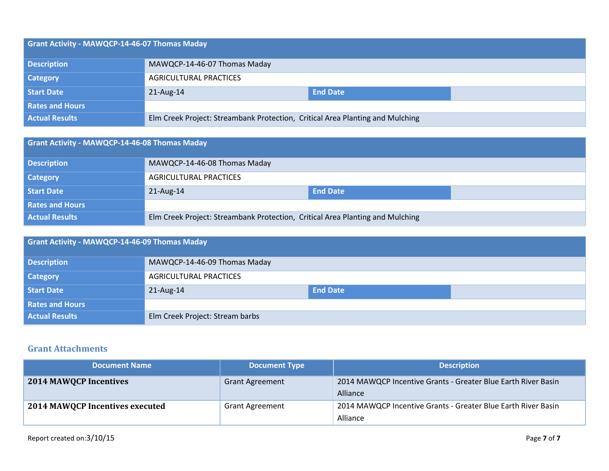| Grant Activity - MAWQCP-14-46-07 Thomas Maday |                                                                               |                 |  |  |
|-----------------------------------------------|-------------------------------------------------------------------------------|-----------------|--|--|
| <b>Description</b>                            | MAWQCP-14-46-07 Thomas Maday                                                  |                 |  |  |
| <b>Category</b>                               | AGRICULTURAL PRACTICES                                                        |                 |  |  |
| <b>Start Date</b>                             | $21$ -Aug-14                                                                  | <b>End Date</b> |  |  |
| <b>Rates and Hours</b>                        |                                                                               |                 |  |  |
| <b>Actual Results</b>                         | Elm Creek Project: Streambank Protection, Critical Area Planting and Mulching |                 |  |  |

| Grant Activity - MAWQCP-14-46-08 Thomas Maday |                                                                               |                 |  |  |
|-----------------------------------------------|-------------------------------------------------------------------------------|-----------------|--|--|
| <b>Description</b>                            | MAWQCP-14-46-08 Thomas Maday                                                  |                 |  |  |
| <b>Category</b>                               | <b>AGRICULTURAL PRACTICES</b>                                                 |                 |  |  |
| <b>Start Date</b>                             | 21-Aug-14                                                                     | <b>End Date</b> |  |  |
| <b>Rates and Hours</b>                        |                                                                               |                 |  |  |
| <b>Actual Results</b>                         | Elm Creek Project: Streambank Protection, Critical Area Planting and Mulching |                 |  |  |

| <b>Grant Activity - MAWQCP-14-46-09 Thomas Maday</b> |                                 |                 |  |  |
|------------------------------------------------------|---------------------------------|-----------------|--|--|
| <b>Description</b>                                   | MAWQCP-14-46-09 Thomas Maday    |                 |  |  |
| <b>Category</b>                                      | AGRICULTURAL PRACTICES          |                 |  |  |
| <b>Start Date</b>                                    | 21-Aug-14                       | <b>End Date</b> |  |  |
| <b>Rates and Hours</b>                               |                                 |                 |  |  |
| <b>Actual Results</b>                                | Elm Creek Project: Stream barbs |                 |  |  |

#### **Grant Attachments**

| <b>Document Name</b>            | <b>Document Type</b>   | <b>Description</b>                                                        |
|---------------------------------|------------------------|---------------------------------------------------------------------------|
| <b>2014 MAWQCP Incentives</b>   | <b>Grant Agreement</b> | 2014 MAWQCP Incentive Grants - Greater Blue Earth River Basin<br>Alliance |
| 2014 MAWQCP Incentives executed | <b>Grant Agreement</b> | 2014 MAWQCP Incentive Grants - Greater Blue Earth River Basin<br>Alliance |